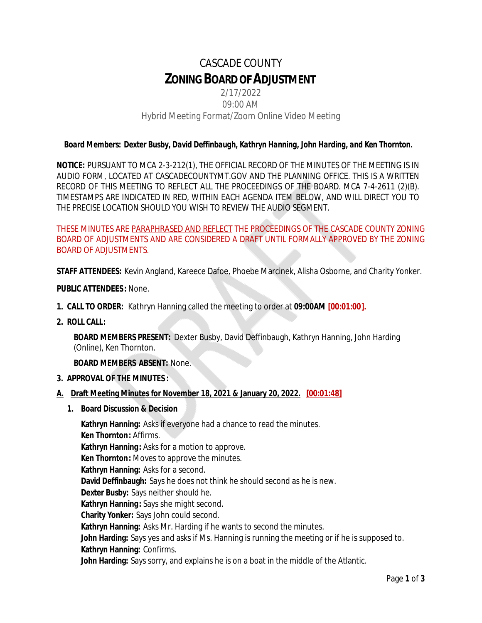# CASCADE COUNTY **ZONINGBOARDOFADJUSTMENT**

# 2/17/2022 09:00 AM Hybrid Meeting Format/Zoom Online Video Meeting

## *Board Members: Dexter Busby, David Deffinbaugh, Kathryn Hanning, John Harding, and Ken Thornton.*

**NOTICE:** PURSUANT TO MCA 2-3-212(1), THE OFFICIAL RECORD OF THE MINUTES OF THE MEETING IS IN AUDIO FORM, LOCATED AT CASCADECOUNTYMT.GOV AND THE PLANNING OFFICE. THIS IS A WRITTEN RECORD OF THIS MEETING TO REFLECT ALL THE PROCEEDINGS OF THE BOARD. MCA 7-4-2611 (2)(B). TIMESTAMPS ARE INDICATED IN RED, WITHIN EACH AGENDA ITEM BELOW, AND WILL DIRECT YOU TO THE PRECISE LOCATION SHOULD YOU WISH TO REVIEW THE AUDIO SEGMENT.

THESE MINUTES ARE PARAPHRASED AND REFLECT THE PROCEEDINGS OF THE CASCADE COUNTY ZONING BOARD OF ADJUSTMENTS AND ARE CONSIDERED A DRAFT UNTIL FORMALLY APPROVED BY THE ZONING BOARD OF ADJUSTMENTS.

**STAFF ATTENDEES:** Kevin Angland, Kareece Dafoe, Phoebe Marcinek, Alisha Osborne, and Charity Yonker.

**PUBLIC ATTENDEES :** None.

- **1. CALL TO ORDER:** Kathryn Hanning called the meeting to order at **09:00AM [00:01:00].**
- **2. ROLL CALL:**

**BOARD MEMBERS PRESENT:** Dexter Busby, David Deffinbaugh, Kathryn Hanning, John Harding (Online), Ken Thornton.

**BOARD MEMBERS ABSENT:** None.

**3. APPROVAL OF THE MINUTES :**

#### **A. Draft Meeting Minutes for November 18, 2021 & January 20, 2022. [00:01:48]**

**1. Board Discussion & Decision**

**Kathryn Hanning:** Asks if everyone had a chance to read the minutes. **Ken Thornton:** Affirms. **Kathryn Hanning:** Asks for a motion to approve. **Ken Thornton:** Moves to approve the minutes. **Kathryn Hanning:** Asks for a second. **David Deffinbaugh:** Says he does not think he should second as he is new. **Dexter Busby:** Says neither should he. **Kathryn Hanning:** Says she might second. **Charity Yonker:** Says John could second. **Kathryn Hanning:** Asks Mr. Harding if he wants to second the minutes. **John Harding:** Says yes and asks if Ms. Hanning is running the meeting or if he is supposed to. **Kathryn Hanning:** Confirms. **John Harding:** Says sorry, and explains he is on a boat in the middle of the Atlantic.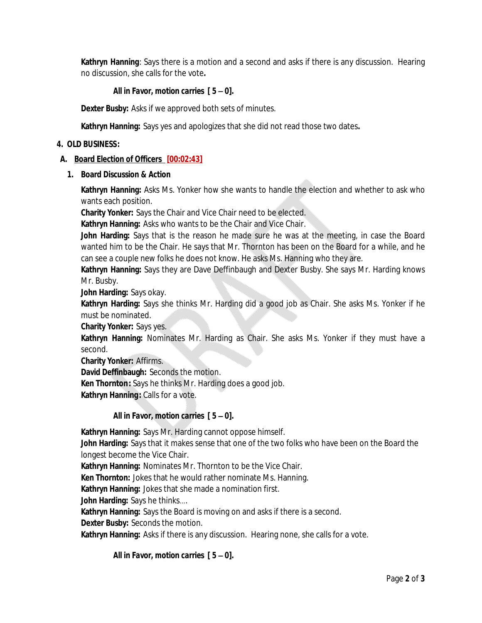**Kathryn Hanning**: Says there is a motion and a second and asks if there is any discussion. Hearing no discussion, she calls for the vote**.**

## *All in Favor, motion carries [ 5 – 0].*

**Dexter Busby:** Asks if we approved both sets of minutes.

**Kathryn Hanning:** Says yes and apologizes that she did not read those two dates**.**

#### **4. OLD BUSINESS:**

## **A. Board Election of Officers [00:02:43]**

**1. Board Discussion & Action**

**Kathryn Hanning:** Asks Ms. Yonker how she wants to handle the election and whether to ask who wants each position.

**Charity Yonker:** Says the Chair and Vice Chair need to be elected.

**Kathryn Hanning:** Asks who wants to be the Chair and Vice Chair.

**John Harding:** Says that is the reason he made sure he was at the meeting, in case the Board wanted him to be the Chair. He says that Mr. Thornton has been on the Board for a while, and he can see a couple new folks he does not know. He asks Ms. Hanning who they are.

**Kathryn Hanning:** Says they are Dave Deffinbaugh and Dexter Busby. She says Mr. Harding knows Mr. Busby.

**John Harding:** Says okay.

**Kathryn Harding:** Says she thinks Mr. Harding did a good job as Chair. She asks Ms. Yonker if he must be nominated.

**Charity Yonker:** Says yes.

**Kathryn Hanning:** Nominates Mr. Harding as Chair. She asks Ms. Yonker if they must have a second.

**Charity Yonker:** Affirms.

**David Deffinbaugh:** Seconds the motion.

**Ken Thornton:** Says he thinks Mr. Harding does a good job.

**Kathryn Hanning:** Calls for a vote.

## *All in Favor, motion carries [ 5 – 0].*

**Kathryn Hanning:** Says Mr. Harding cannot oppose himself.

**John Harding:** Says that it makes sense that one of the two folks who have been on the Board the longest become the Vice Chair.

**Kathryn Hanning:** Nominates Mr. Thornton to be the Vice Chair.

**Ken Thornton:** Jokes that he would rather nominate Ms. Hanning.

**Kathryn Hanning:** Jokes that she made a nomination first.

**John Harding:** Says he thinks….

**Kathryn Hanning:** Says the Board is moving on and asks if there is a second.

**Dexter Busby:** Seconds the motion.

**Kathryn Hanning:** Asks if there is any discussion. Hearing none, she calls for a vote.

*All in Favor, motion carries [ 5 – 0].*